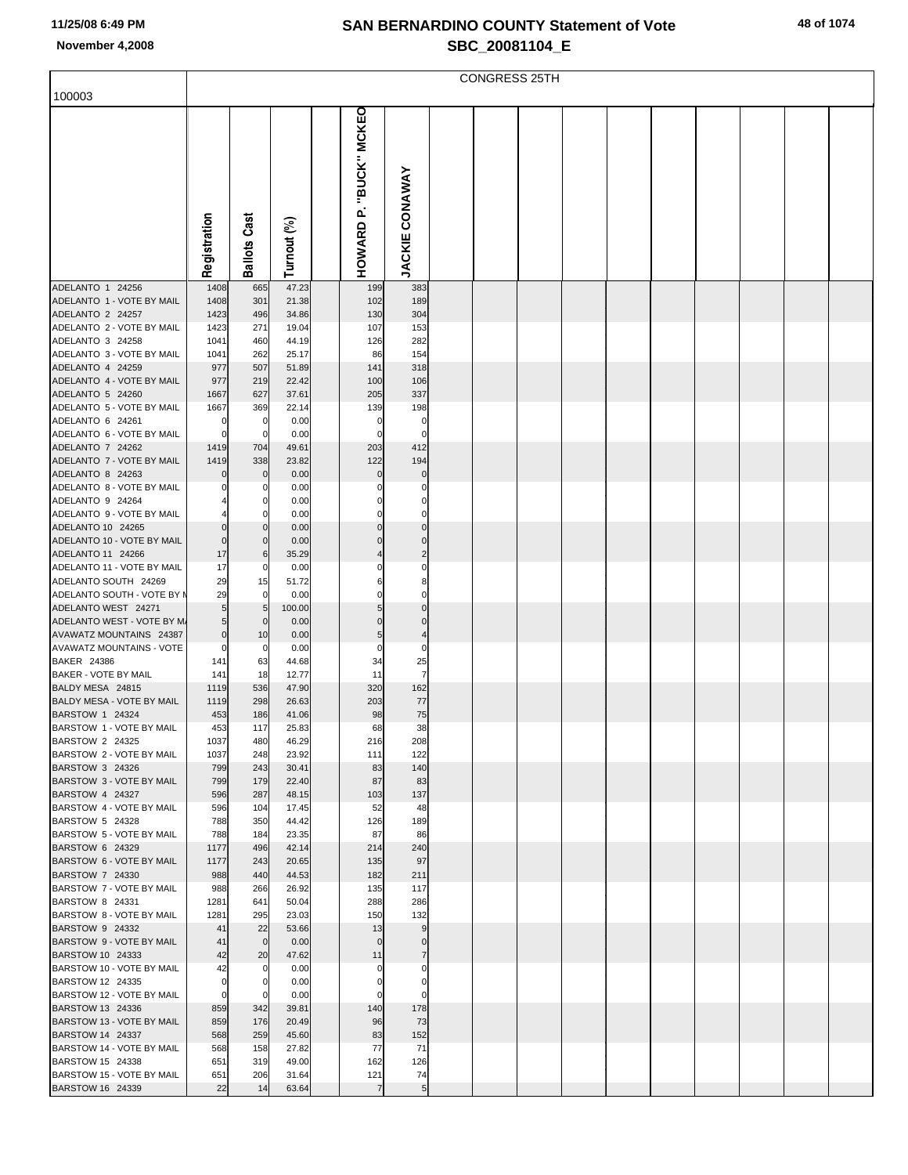| 100003                                             |                |                     |                |                   |                          |  | <b>CONGRESS 25TH</b> |  |  |  |  |
|----------------------------------------------------|----------------|---------------------|----------------|-------------------|--------------------------|--|----------------------|--|--|--|--|
|                                                    |                |                     |                |                   |                          |  |                      |  |  |  |  |
|                                                    |                |                     |                | "BUCK" MCKEO      |                          |  |                      |  |  |  |  |
|                                                    |                |                     |                |                   |                          |  |                      |  |  |  |  |
|                                                    |                |                     |                |                   |                          |  |                      |  |  |  |  |
|                                                    |                |                     |                |                   |                          |  |                      |  |  |  |  |
|                                                    |                |                     |                |                   |                          |  |                      |  |  |  |  |
|                                                    |                |                     |                |                   |                          |  |                      |  |  |  |  |
|                                                    |                |                     |                | غم.               |                          |  |                      |  |  |  |  |
|                                                    |                |                     |                |                   |                          |  |                      |  |  |  |  |
|                                                    |                |                     |                |                   |                          |  |                      |  |  |  |  |
|                                                    | Registration   | <b>Ballots Cast</b> | Turnout (%)    | HOWARD            | <b>JACKIE CONAWAY</b>    |  |                      |  |  |  |  |
|                                                    |                |                     |                |                   |                          |  |                      |  |  |  |  |
| ADELANTO 1 24256<br>ADELANTO 1 - VOTE BY MAIL      | 1408<br>1408   | 665<br>301          | 47.23          | 199<br>102        | 383<br>189               |  |                      |  |  |  |  |
| ADELANTO 2 24257                                   | 1423           | 496                 | 21.38<br>34.86 | 130               | 304                      |  |                      |  |  |  |  |
| ADELANTO 2 - VOTE BY MAIL                          | 1423           | 271                 | 19.04          | 107               | 153                      |  |                      |  |  |  |  |
| ADELANTO 3 24258                                   | 1041           | 460                 | 44.19          | 126               | 282                      |  |                      |  |  |  |  |
| ADELANTO 3 - VOTE BY MAIL                          | 1041           | 262                 | 25.17          | 86                | 154                      |  |                      |  |  |  |  |
| ADELANTO 4 24259                                   | 977            | 507                 | 51.89          | 141               | 318                      |  |                      |  |  |  |  |
| ADELANTO 4 - VOTE BY MAIL<br>ADELANTO 5 24260      | 977<br>1667    | 219<br>627          | 22.42<br>37.61 | 100               | 106<br>337               |  |                      |  |  |  |  |
| ADELANTO 5 - VOTE BY MAIL                          | 1667           | 369                 | 22.14          | 205<br>139        | 198                      |  |                      |  |  |  |  |
| ADELANTO 6 24261                                   |                | 0                   | 0.00           |                   | 0                        |  |                      |  |  |  |  |
| ADELANTO 6 - VOTE BY MAIL                          | $\Omega$       | 0                   | 0.00           | $\Omega$          | $\Omega$                 |  |                      |  |  |  |  |
| ADELANTO 7 24262                                   | 1419           | 704                 | 49.61          | 203               | 412                      |  |                      |  |  |  |  |
| ADELANTO 7 - VOTE BY MAIL                          | 1419           | 338                 | 23.82          | 122               | 194                      |  |                      |  |  |  |  |
| ADELANTO 8 24263                                   |                | $\mathbf 0$         | 0.00           | $\mathbf 0$       | 0                        |  |                      |  |  |  |  |
| ADELANTO 8 - VOTE BY MAIL<br>ADELANTO 9 24264      |                | 0<br>0              | 0.00<br>0.00   |                   | $\Omega$<br>0            |  |                      |  |  |  |  |
| ADELANTO 9 - VOTE BY MAIL                          |                | 0                   | 0.00           |                   | $\Omega$                 |  |                      |  |  |  |  |
| ADELANTO 10 24265                                  | $\Omega$       | $\mathbf 0$         | 0.00           | $\mathbf 0$       | $\mathbf 0$              |  |                      |  |  |  |  |
| ADELANTO 10 - VOTE BY MAIL                         | $\overline{0}$ | $\mathbf 0$         | 0.00           | $\Omega$          | $\Omega$                 |  |                      |  |  |  |  |
| ADELANTO 11 24266                                  | 17             | 6                   | 35.29          |                   | $\overline{2}$           |  |                      |  |  |  |  |
| ADELANTO 11 - VOTE BY MAIL                         | 17             | 0                   | 0.00           |                   | 0                        |  |                      |  |  |  |  |
| ADELANTO SOUTH 24269<br>ADELANTO SOUTH - VOTE BY M | 29<br>29       | 15<br>0             | 51.72<br>0.00  |                   | 8<br>$\Omega$            |  |                      |  |  |  |  |
| ADELANTO WEST 24271                                | $5 \,$         | 5                   | 100.00         | 5                 | $\mathbf 0$              |  |                      |  |  |  |  |
| ADELANTO WEST - VOTE BY M.                         | $5 \vert$      | $\mathbf 0$         | 0.00           | $\mathbf 0$       | $\Omega$                 |  |                      |  |  |  |  |
| AVAWATZ MOUNTAINS 24387                            | $\overline{0}$ | 10                  | 0.00           | 5                 | $\overline{\mathcal{L}}$ |  |                      |  |  |  |  |
| <b>AVAWATZ MOUNTAINS - VOTE</b>                    | 0              | 0                   | 0.00           | $\Omega$          | 0                        |  |                      |  |  |  |  |
| BAKER 24386<br>BAKER - VOTE BY MAIL                | 141            | 63<br>18            | 44.68          | 34                | 25<br>$\overline{7}$     |  |                      |  |  |  |  |
| BALDY MESA 24815                                   | 141<br>1119    | 536                 | 12.77<br>47.90 | 11<br>320         | 162                      |  |                      |  |  |  |  |
| BALDY MESA - VOTE BY MAIL                          | 1119           | 298                 | 26.63          | 203               | 77                       |  |                      |  |  |  |  |
| BARSTOW 1 24324                                    | 453            | 186                 | 41.06          | 98                | 75                       |  |                      |  |  |  |  |
| BARSTOW 1 - VOTE BY MAIL                           | 453            | 117                 | 25.83          | 68                | 38                       |  |                      |  |  |  |  |
| BARSTOW 2 24325                                    | 1037           | 480                 | 46.29          | 216               | 208                      |  |                      |  |  |  |  |
| BARSTOW 2 - VOTE BY MAIL<br>BARSTOW 3 24326        | 1037<br>799    | 248<br>243          | 23.92<br>30.41 | 111<br>83         | 122<br>140               |  |                      |  |  |  |  |
| BARSTOW 3 - VOTE BY MAIL                           | 799            | 179                 | 22.40          | 87                | 83                       |  |                      |  |  |  |  |
| BARSTOW 4 24327                                    | 596            | 287                 | 48.15          | 103               | 137                      |  |                      |  |  |  |  |
| BARSTOW 4 - VOTE BY MAIL                           | 596            | 104                 | 17.45          | 52                | 48                       |  |                      |  |  |  |  |
| BARSTOW 5 24328                                    | 788            | 350                 | 44.42          | 126               | 189                      |  |                      |  |  |  |  |
| BARSTOW 5 - VOTE BY MAIL                           | 788            | 184                 | 23.35          | 87                | 86                       |  |                      |  |  |  |  |
| BARSTOW 6 24329<br>BARSTOW 6 - VOTE BY MAIL        | 1177<br>1177   | 496<br>243          | 42.14<br>20.65 | 214<br>135        | 240<br>97                |  |                      |  |  |  |  |
| BARSTOW 7 24330                                    | 988            | 440                 | 44.53          | 182               | 211                      |  |                      |  |  |  |  |
| BARSTOW 7 - VOTE BY MAIL                           | 988            | 266                 | 26.92          | 135               | 117                      |  |                      |  |  |  |  |
| BARSTOW 8 24331                                    | 1281           | 641                 | 50.04          | 288               | 286                      |  |                      |  |  |  |  |
| BARSTOW 8 - VOTE BY MAIL                           | 1281           | 295                 | 23.03          | 150               | 132                      |  |                      |  |  |  |  |
| BARSTOW 9 24332                                    | 41             | 22                  | 53.66          | 13                | 9                        |  |                      |  |  |  |  |
| BARSTOW 9 - VOTE BY MAIL<br>BARSTOW 10 24333       | 41<br>42       | $\mathbf 0$<br>20   | 0.00<br>47.62  | $\mathbf 0$<br>11 | 0<br>7                   |  |                      |  |  |  |  |
| BARSTOW 10 - VOTE BY MAIL                          | 42             | 0                   | 0.00           |                   | 0                        |  |                      |  |  |  |  |
| BARSTOW 12 24335                                   | 0              | 0                   | 0.00           |                   | 0                        |  |                      |  |  |  |  |
| BARSTOW 12 - VOTE BY MAIL                          | $\mathbf 0$    | 0                   | 0.00           | $\Omega$          | $\Omega$                 |  |                      |  |  |  |  |
| BARSTOW 13 24336                                   | 859            | 342                 | 39.81          | 140               | 178                      |  |                      |  |  |  |  |
| BARSTOW 13 - VOTE BY MAIL<br>BARSTOW 14 24337      | 859<br>568     | 176<br>259          | 20.49<br>45.60 | 96<br>83          | 73<br>152                |  |                      |  |  |  |  |
| BARSTOW 14 - VOTE BY MAIL                          | 568            | 158                 | 27.82          | 77                | 71                       |  |                      |  |  |  |  |
| BARSTOW 15 24338                                   | 651            | 319                 | 49.00          | 162               | 126                      |  |                      |  |  |  |  |
| BARSTOW 15 - VOTE BY MAIL                          | 651            | 206                 | 31.64          | 121               | 74                       |  |                      |  |  |  |  |
| BARSTOW 16 24339                                   | 22             | 14                  | 63.64          | $\overline{7}$    | $\sqrt{5}$               |  |                      |  |  |  |  |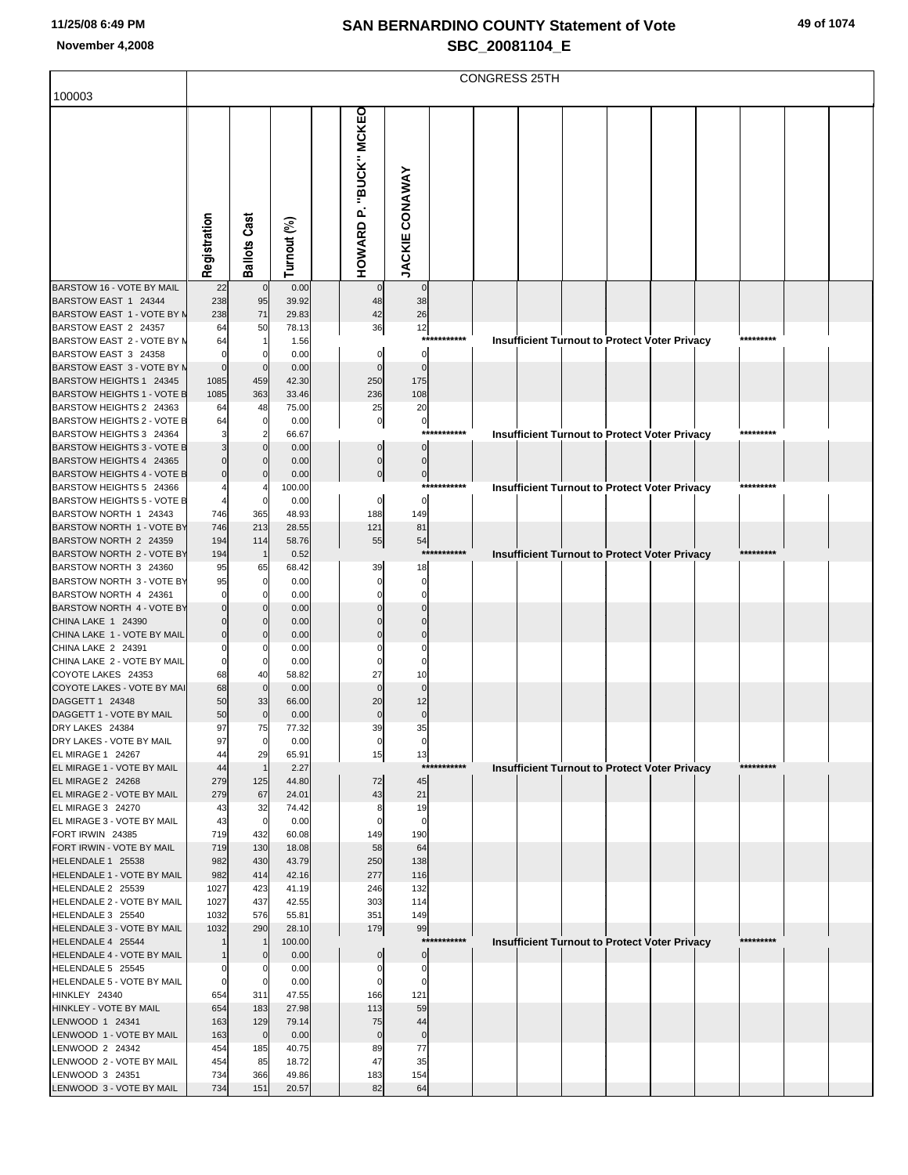|                                                              |              |                     |                 |                        |                       |             | <b>CONGRESS 25TH</b> |  |                                                      |           |  |
|--------------------------------------------------------------|--------------|---------------------|-----------------|------------------------|-----------------------|-------------|----------------------|--|------------------------------------------------------|-----------|--|
| 100003                                                       |              |                     |                 |                        |                       |             |                      |  |                                                      |           |  |
|                                                              |              |                     |                 | HOWARD P. "BUCK" MCKEO |                       |             |                      |  |                                                      |           |  |
|                                                              |              |                     |                 |                        |                       |             |                      |  |                                                      |           |  |
|                                                              |              |                     |                 |                        |                       |             |                      |  |                                                      |           |  |
|                                                              |              |                     |                 |                        |                       |             |                      |  |                                                      |           |  |
|                                                              |              |                     |                 |                        |                       |             |                      |  |                                                      |           |  |
|                                                              |              |                     |                 |                        |                       |             |                      |  |                                                      |           |  |
|                                                              |              |                     |                 |                        |                       |             |                      |  |                                                      |           |  |
|                                                              |              |                     |                 |                        |                       |             |                      |  |                                                      |           |  |
|                                                              |              |                     |                 |                        |                       |             |                      |  |                                                      |           |  |
|                                                              | Registration | <b>Ballots Cast</b> | Turnout (%)     |                        | <b>JACKIE CONAWAY</b> |             |                      |  |                                                      |           |  |
| BARSTOW 16 - VOTE BY MAIL                                    | 22           | $\mathbf 0$         | 0.00            |                        | $\mathbf 0$           |             |                      |  |                                                      |           |  |
| BARSTOW EAST 1 24344                                         | 238          | 95                  | 39.92           | 48                     | 38                    |             |                      |  |                                                      |           |  |
| BARSTOW EAST 1 - VOTE BY N                                   | 238          | 71                  | 29.83           | 42                     | 26                    |             |                      |  |                                                      |           |  |
| BARSTOW EAST 2 24357<br>BARSTOW EAST 2 - VOTE BY N           | 64<br>64     | 50<br>$\mathbf 1$   | 78.13<br>1.56   | 36                     | 12                    | *********** |                      |  | Insufficient Turnout to Protect Voter Privacy        | ********* |  |
| BARSTOW EAST 3 24358                                         |              | $\mathbf 0$         | 0.00            | 0                      | $\overline{0}$        |             |                      |  |                                                      |           |  |
| BARSTOW EAST 3 - VOTE BY M                                   | $\Omega$     | $\mathbf 0$         | 0.00            | $\mathbf 0$            | $\mathbf 0$           |             |                      |  |                                                      |           |  |
| BARSTOW HEIGHTS 1 24345                                      | 1085         | 459                 | 42.30           | 250                    | 175                   |             |                      |  |                                                      |           |  |
| BARSTOW HEIGHTS 1 - VOTE B                                   | 1085         | 363                 | 33.46           | 236                    | 108                   |             |                      |  |                                                      |           |  |
| BARSTOW HEIGHTS 2 24363<br><b>BARSTOW HEIGHTS 2 - VOTE B</b> | 64<br>64     | 48<br>$\mathbf 0$   | 75.00<br>0.00   | 25<br>$\pmb{0}$        | 20<br>$\pmb{0}$       |             |                      |  |                                                      |           |  |
| BARSTOW HEIGHTS 3 24364                                      |              | $\overline{2}$      | 66.67           |                        |                       | *********** |                      |  | <b>Insufficient Turnout to Protect Voter Privacy</b> | ********  |  |
| <b>BARSTOW HEIGHTS 3 - VOTE B</b>                            |              | $\mathbf 0$         | 0.00            | 0                      | $\overline{0}$        |             |                      |  |                                                      |           |  |
| BARSTOW HEIGHTS 4 24365                                      |              | $\Omega$            | 0.00            | $\pmb{0}$              | $\overline{0}$        |             |                      |  |                                                      |           |  |
| <b>BARSTOW HEIGHTS 4 - VOTE B</b>                            |              | $\mathbf 0$         | 0.00            | $\bf{0}$               | $\overline{0}$        | *********** |                      |  |                                                      | ********  |  |
| BARSTOW HEIGHTS 5 24366<br><b>BARSTOW HEIGHTS 5 - VOTE B</b> |              | $\mathbf 0$         | 100.00<br>0.00  | $\pmb{0}$              | $\circ$               |             |                      |  | <b>Insufficient Turnout to Protect Voter Privacy</b> |           |  |
| BARSTOW NORTH 1 24343                                        | 746          | 365                 | 48.93           | 188                    | 149                   |             |                      |  |                                                      |           |  |
| BARSTOW NORTH 1 - VOTE BY                                    | 746          | 213                 | 28.55           | 121                    | 81                    |             |                      |  |                                                      |           |  |
| BARSTOW NORTH 2 24359                                        | 194          | 114                 | 58.76           | 55                     | 54                    |             |                      |  |                                                      |           |  |
| BARSTOW NORTH 2 - VOTE BY                                    | 194          | $\overline{1}$      | 0.52            |                        |                       | *********** |                      |  | Insufficient Turnout to Protect Voter Privacy        | ********  |  |
| BARSTOW NORTH 3 24360<br>BARSTOW NORTH 3 - VOTE BY           | 95<br>95     | 65<br>$\mathbf 0$   | 68.42<br>0.00   | 39<br>$\Omega$         | 18<br>$\Omega$        |             |                      |  |                                                      |           |  |
| BARSTOW NORTH 4 24361                                        |              | $\mathbf 0$         | 0.00            | $\Omega$               | $\mathbf 0$           |             |                      |  |                                                      |           |  |
| BARSTOW NORTH 4 - VOTE BY                                    |              | $\Omega$            | 0.00            | $\Omega$               | $\cap$                |             |                      |  |                                                      |           |  |
| CHINA LAKE 1 24390                                           |              | $\Omega$            | 0.00            |                        |                       |             |                      |  |                                                      |           |  |
| CHINA LAKE 1 - VOTE BY MAIL<br>CHINA LAKE 2 24391            |              | $\Omega$<br>C       | 0.00<br>0.00    | $\Omega$               | $\Omega$              |             |                      |  |                                                      |           |  |
| CHINA LAKE 2 - VOTE BY MAIL                                  | $\mathbf{0}$ | $\mathbf 0$         | 0.00            | $\Omega$               | $\Omega$              |             |                      |  |                                                      |           |  |
| COYOTE LAKES 24353                                           | 68           | 40                  | 58.82           | 27                     | 10                    |             |                      |  |                                                      |           |  |
| COYOTE LAKES - VOTE BY MAI                                   | 68           | $\mathbf 0$         | 0.00            | $\Omega$               | $\mathbf 0$           |             |                      |  |                                                      |           |  |
| DAGGETT 1 24348                                              | 50<br>50     | 33                  | 66.00           | 20                     | 12                    |             |                      |  |                                                      |           |  |
| DAGGETT 1 - VOTE BY MAIL<br>DRY LAKES 24384                  | 97           | $\mathbf 0$<br>75   | 0.00<br>77.32   | $\bf{0}$<br>39         | $\pmb{0}$<br>35       |             |                      |  |                                                      |           |  |
| DRY LAKES - VOTE BY MAIL                                     | 97           | $\mathbf 0$         | 0.00            | $\pmb{0}$              | $\mathbf 0$           |             |                      |  |                                                      |           |  |
| EL MIRAGE 1 24267                                            | 44           | 29                  | 65.91           | 15                     | 13                    |             |                      |  |                                                      |           |  |
| EL MIRAGE 1 - VOTE BY MAIL                                   | 44           | $\mathbf{1}$        | 2.27            |                        |                       | *********** |                      |  | Insufficient Turnout to Protect Voter Privacy        | ********* |  |
| <b>EL MIRAGE 2 24268</b><br>EL MIRAGE 2 - VOTE BY MAIL       | 279<br>279   | 125<br>67           | 44.80<br>24.01  | 72<br>43               | 45<br>21              |             |                      |  |                                                      |           |  |
| EL MIRAGE 3 24270                                            | 43           | 32                  | 74.42           | 8                      | 19                    |             |                      |  |                                                      |           |  |
| EL MIRAGE 3 - VOTE BY MAIL                                   | 43           | $\mathbf 0$         | 0.00            | $\Omega$               | $\mathbf 0$           |             |                      |  |                                                      |           |  |
| FORT IRWIN 24385                                             | 719          | 432                 | 60.08           | 149                    | 190                   |             |                      |  |                                                      |           |  |
| FORT IRWIN - VOTE BY MAIL                                    | 719          | 130                 | 18.08           | 58                     | 64                    |             |                      |  |                                                      |           |  |
| HELENDALE 1 25538<br>HELENDALE 1 - VOTE BY MAIL              | 982<br>982   | 430<br>414          | 43.79<br>42.16  | 250<br>277             | 138<br>116            |             |                      |  |                                                      |           |  |
| HELENDALE 2 25539                                            | 1027         | 423                 | 41.19           | 246                    | 132                   |             |                      |  |                                                      |           |  |
| HELENDALE 2 - VOTE BY MAIL                                   | 1027         | 437                 | 42.55           | 303                    | 114                   |             |                      |  |                                                      |           |  |
| HELENDALE 3 25540                                            | 1032         | 576                 | 55.81           | 351                    | 149                   |             |                      |  |                                                      |           |  |
| HELENDALE 3 - VOTE BY MAIL<br>HELENDALE 4 25544              | 1032         | 290<br>$\mathbf{1}$ | 28.10<br>100.00 | 179                    | 99                    | *********** |                      |  |                                                      | ********* |  |
| HELENDALE 4 - VOTE BY MAIL                                   |              | $\mathbf 0$         | 0.00            |                        | $\overline{0}$        |             |                      |  | Insufficient Turnout to Protect Voter Privacy        |           |  |
| HELENDALE 5 25545                                            |              | C                   | 0.00            |                        | 0                     |             |                      |  |                                                      |           |  |
| HELENDALE 5 - VOTE BY MAIL                                   | 0            | 0                   | 0.00            | 0                      | $\mathbf 0$           |             |                      |  |                                                      |           |  |
| HINKLEY 24340                                                | 654          | 311                 | 47.55           | 166                    | 121                   |             |                      |  |                                                      |           |  |
| HINKLEY - VOTE BY MAIL<br>LENWOOD 1 24341                    | 654<br>163   | 183<br>129          | 27.98<br>79.14  | 113<br>75              | 59<br>44              |             |                      |  |                                                      |           |  |
| LENWOOD 1 - VOTE BY MAIL                                     | 163          | $\mathbf 0$         | 0.00            | $\mathbf 0$            | $\mathbf 0$           |             |                      |  |                                                      |           |  |
| LENWOOD 2 24342                                              | 454          | 185                 | 40.75           | 89                     | 77                    |             |                      |  |                                                      |           |  |
| LENWOOD 2 - VOTE BY MAIL                                     | 454          | 85                  | 18.72           | 47                     | 35                    |             |                      |  |                                                      |           |  |
| LENWOOD 3 24351<br>LENWOOD 3 - VOTE BY MAIL                  | 734<br>734   | 366<br>151          | 49.86<br>20.57  | 183<br>82              | 154<br>64             |             |                      |  |                                                      |           |  |
|                                                              |              |                     |                 |                        |                       |             |                      |  |                                                      |           |  |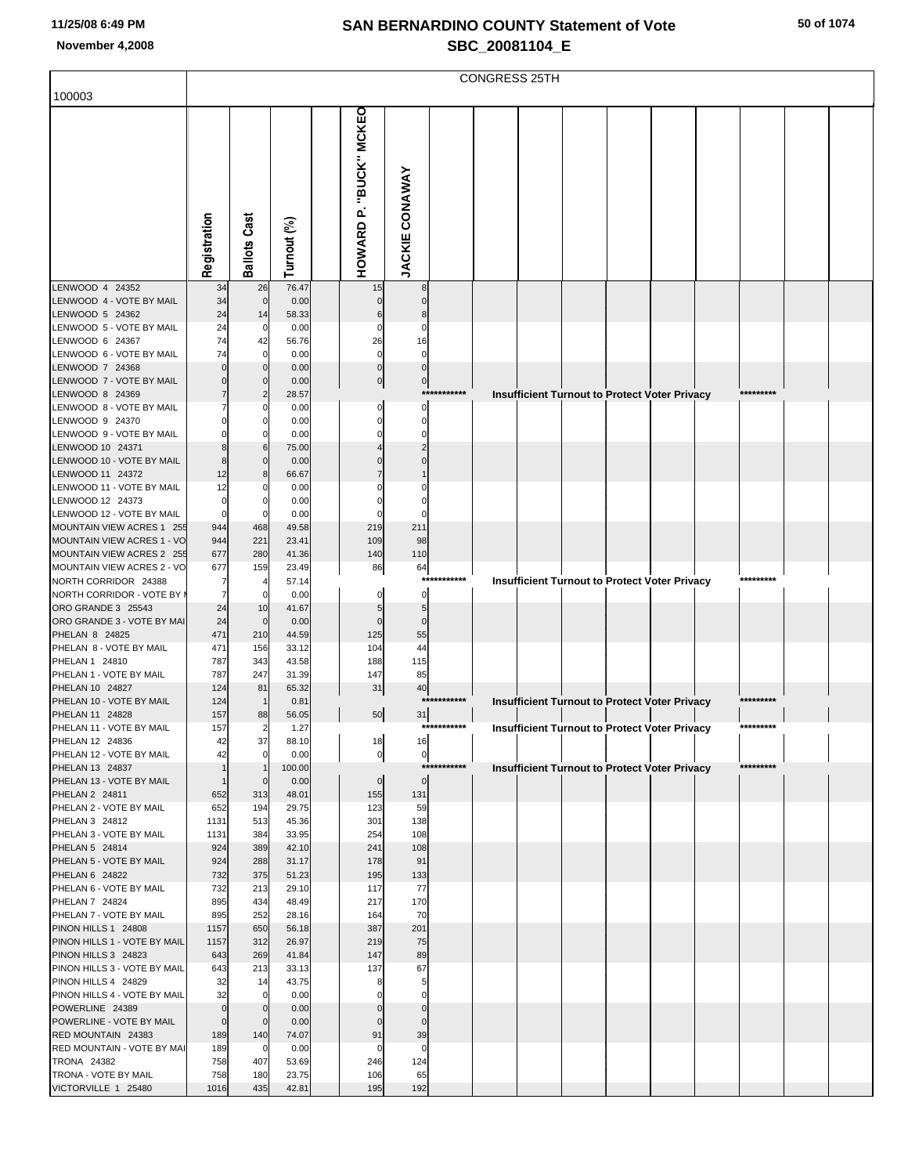|                                                        |                    |                     |                |                        |                       |             | <b>CONGRESS 25TH</b> |  |                                                      |           |  |
|--------------------------------------------------------|--------------------|---------------------|----------------|------------------------|-----------------------|-------------|----------------------|--|------------------------------------------------------|-----------|--|
| 100003                                                 |                    |                     |                |                        |                       |             |                      |  |                                                      |           |  |
|                                                        | Registration       | <b>Ballots Cast</b> | Turnout (%)    | HOWARD P. "BUCK" MCKEO | <b>JACKIE CONAWAY</b> |             |                      |  |                                                      |           |  |
| LENWOOD 4 24352<br>LENWOOD 4 - VOTE BY MAIL            | 34<br>34           | 26<br>$\mathbf 0$   | 76.47<br>0.00  | 15                     | 8                     |             |                      |  |                                                      |           |  |
| LENWOOD 5 24362                                        | 24                 | 14                  | 58.33          | 0<br>6                 | $\mathbf 0$<br>8      |             |                      |  |                                                      |           |  |
| LENWOOD 5 - VOTE BY MAIL                               | 24                 | 0                   | 0.00           | 0                      | 0                     |             |                      |  |                                                      |           |  |
| LENWOOD 6 24367<br>LENWOOD 6 - VOTE BY MAIL            | 74<br>74           | 42<br>$\mathbf 0$   | 56.76<br>0.00  | 26<br>0                | 16<br>0               |             |                      |  |                                                      |           |  |
| LENWOOD 7 24368                                        |                    | $\Omega$            | 0.00           | $\bf{0}$               | $\mathbf 0$           |             |                      |  |                                                      |           |  |
| LENWOOD 7 - VOTE BY MAIL                               |                    | $\mathbf 0$         | 0.00           | $\overline{0}$         | $\overline{0}$        |             |                      |  |                                                      |           |  |
| LENWOOD 8 24369<br>LENWOOD 8 - VOTE BY MAIL            |                    | 2<br>C              | 28.57<br>0.00  | $\Omega$               | $\mathbf 0$           | *********** |                      |  | <b>Insufficient Turnout to Protect Voter Privacy</b> | ********* |  |
| LENWOOD 9 24370                                        |                    | C                   | 0.00           | $\Omega$               | O                     |             |                      |  |                                                      |           |  |
| LENWOOD 9 - VOTE BY MAIL                               |                    | $\Omega$            | 0.00           | 0                      | 0                     |             |                      |  |                                                      |           |  |
| LENWOOD 10 24371                                       |                    | 6                   | 75.00          |                        |                       |             |                      |  |                                                      |           |  |
| LENWOOD 10 - VOTE BY MAIL<br>LENWOOD 11 24372          | 12                 | $\Omega$<br>8       | 0.00<br>66.67  |                        |                       |             |                      |  |                                                      |           |  |
| LENWOOD 11 - VOTE BY MAIL                              | 12                 | C                   | 0.00           |                        |                       |             |                      |  |                                                      |           |  |
| LENWOOD 12 24373                                       | C                  | 0                   | 0.00           | $\Omega$               |                       |             |                      |  |                                                      |           |  |
| LENWOOD 12 - VOTE BY MAIL<br>MOUNTAIN VIEW ACRES 1 255 | 944                | C<br>468            | 0.00<br>49.58  | $\Omega$<br>219        | 211                   |             |                      |  |                                                      |           |  |
| MOUNTAIN VIEW ACRES 1 - VO                             | 944                | 221                 | 23.41          | 109                    | 98                    |             |                      |  |                                                      |           |  |
| MOUNTAIN VIEW ACRES 2 255                              | 677                | 280                 | 41.36          | 140                    | 110                   |             |                      |  |                                                      |           |  |
| MOUNTAIN VIEW ACRES 2 - VO<br>NORTH CORRIDOR 24388     | 677                | 159<br>4            | 23.49<br>57.14 | 86                     | 64<br>$***$           | *****       |                      |  | Insufficient Turnout to Protect Voter Privacy        | ********* |  |
| NORTH CORRIDOR - VOTE BY                               |                    | $\mathbf 0$         | 0.00           | 0                      | 0                     |             |                      |  |                                                      |           |  |
| ORO GRANDE 3 25543                                     | 24                 | 10                  | 41.67          | 5                      | 5                     |             |                      |  |                                                      |           |  |
| ORO GRANDE 3 - VOTE BY MAI                             | 24                 | $\mathbf 0$         | 0.00           | $\mathbf 0$            | $\mathbf 0$           |             |                      |  |                                                      |           |  |
| PHELAN 8 24825<br>PHELAN 8 - VOTE BY MAIL              | 471<br>471         | 210<br>156          | 44.59<br>33.12 | 125<br>104             | 55<br>44              |             |                      |  |                                                      |           |  |
| PHELAN 1 24810                                         | 787                | 343                 | 43.58          | 188                    | 115                   |             |                      |  |                                                      |           |  |
| PHELAN 1 - VOTE BY MAIL                                | 787                | 247                 | 31.39          | 147                    | 85                    |             |                      |  |                                                      |           |  |
| PHELAN 10 24827<br>PHELAN 10 - VOTE BY MAIL            | 124<br>124         | 81<br>-1            | 65.32<br>0.81  | 31                     | 40                    | *********** |                      |  | <b>Insufficient Turnout to Protect Voter Privacy</b> | ********* |  |
| PHELAN 11 24828                                        | 157                | 88                  | 56.05          | 50                     | 31                    |             |                      |  |                                                      |           |  |
| PHELAN 11 - VOTE BY MAIL                               | 157                |                     | 1.21           |                        |                       |             |                      |  | <b>Insufficient Turnout to Protect Voter Privacy</b> |           |  |
| PHELAN 12 24836<br>PHELAN 12 - VOTE BY MAIL            | 42<br>42           | 37<br>$\mathbf 0$   | 88.10<br>0.00  | 18<br>$\overline{0}$   | 16<br>$\overline{0}$  |             |                      |  |                                                      |           |  |
| PHELAN 13 24837                                        |                    | $\mathbf 1$         | 100.00         |                        |                       | *********** |                      |  | Insufficient Turnout to Protect Voter Privacy        | ********* |  |
| PHELAN 13 - VOTE BY MAIL                               |                    | $\mathbf 0$         | 0.00           | $\overline{0}$         | $\mathbf 0$           |             |                      |  |                                                      |           |  |
| PHELAN 2 24811<br>PHELAN 2 - VOTE BY MAIL              | 652<br>652         | 313<br>194          | 48.01<br>29.75 | 155<br>123             | 131<br>59             |             |                      |  |                                                      |           |  |
| PHELAN 3 24812                                         | 1131               | 513                 | 45.36          | 301                    | 138                   |             |                      |  |                                                      |           |  |
| PHELAN 3 - VOTE BY MAIL                                | 1131               | 384                 | 33.95          | 254                    | 108                   |             |                      |  |                                                      |           |  |
| PHELAN 5 24814<br>PHELAN 5 - VOTE BY MAIL              | 924<br>924         | 389<br>288          | 42.10<br>31.17 | 241                    | 108                   |             |                      |  |                                                      |           |  |
| PHELAN 6 24822                                         | 732                | 375                 | 51.23          | 178<br>195             | 91<br>133             |             |                      |  |                                                      |           |  |
| PHELAN 6 - VOTE BY MAIL                                | 732                | 213                 | 29.10          | 117                    | 77                    |             |                      |  |                                                      |           |  |
| PHELAN 7 24824                                         | 895                | 434                 | 48.49          | 217                    | 170                   |             |                      |  |                                                      |           |  |
| PHELAN 7 - VOTE BY MAIL<br>PINON HILLS 1 24808         | 895<br>1157        | 252<br>650          | 28.16<br>56.18 | 164<br>387             | 70<br>201             |             |                      |  |                                                      |           |  |
| PINON HILLS 1 - VOTE BY MAIL                           | 1157               | 312                 | 26.97          | 219                    | 75                    |             |                      |  |                                                      |           |  |
| PINON HILLS 3 24823                                    | 643                | 269                 | 41.84          | 147                    | 89                    |             |                      |  |                                                      |           |  |
| PINON HILLS 3 - VOTE BY MAIL<br>PINON HILLS 4 24829    | 643<br>32          | 213<br>14           | 33.13<br>43.75 | 137<br>8               | 67<br>5               |             |                      |  |                                                      |           |  |
| PINON HILLS 4 - VOTE BY MAIL                           | 32                 | $\mathbf 0$         | 0.00           |                        |                       |             |                      |  |                                                      |           |  |
| POWERLINE 24389                                        | $\mathbf 0$        | $\mathbf 0$         | 0.00           | $\mathbf 0$            | $\Omega$              |             |                      |  |                                                      |           |  |
| POWERLINE - VOTE BY MAIL<br>RED MOUNTAIN 24383         | $\mathbf 0$<br>189 | $\mathbf 0$<br>140  | 0.00<br>74.07  | 0<br>91                | $\mathbf 0$<br>39     |             |                      |  |                                                      |           |  |
| RED MOUNTAIN - VOTE BY MAI                             | 189                | $\mathbf 0$         | 0.00           | 0                      | $\Omega$              |             |                      |  |                                                      |           |  |
| TRONA 24382                                            | 758                | 407                 | 53.69          | 246                    | 124                   |             |                      |  |                                                      |           |  |
| TRONA - VOTE BY MAIL                                   | 758<br>1016        | 180<br>435          | 23.75<br>42.81 | 106<br>195             | 65<br>192             |             |                      |  |                                                      |           |  |
| VICTORVILLE 1 25480                                    |                    |                     |                |                        |                       |             |                      |  |                                                      |           |  |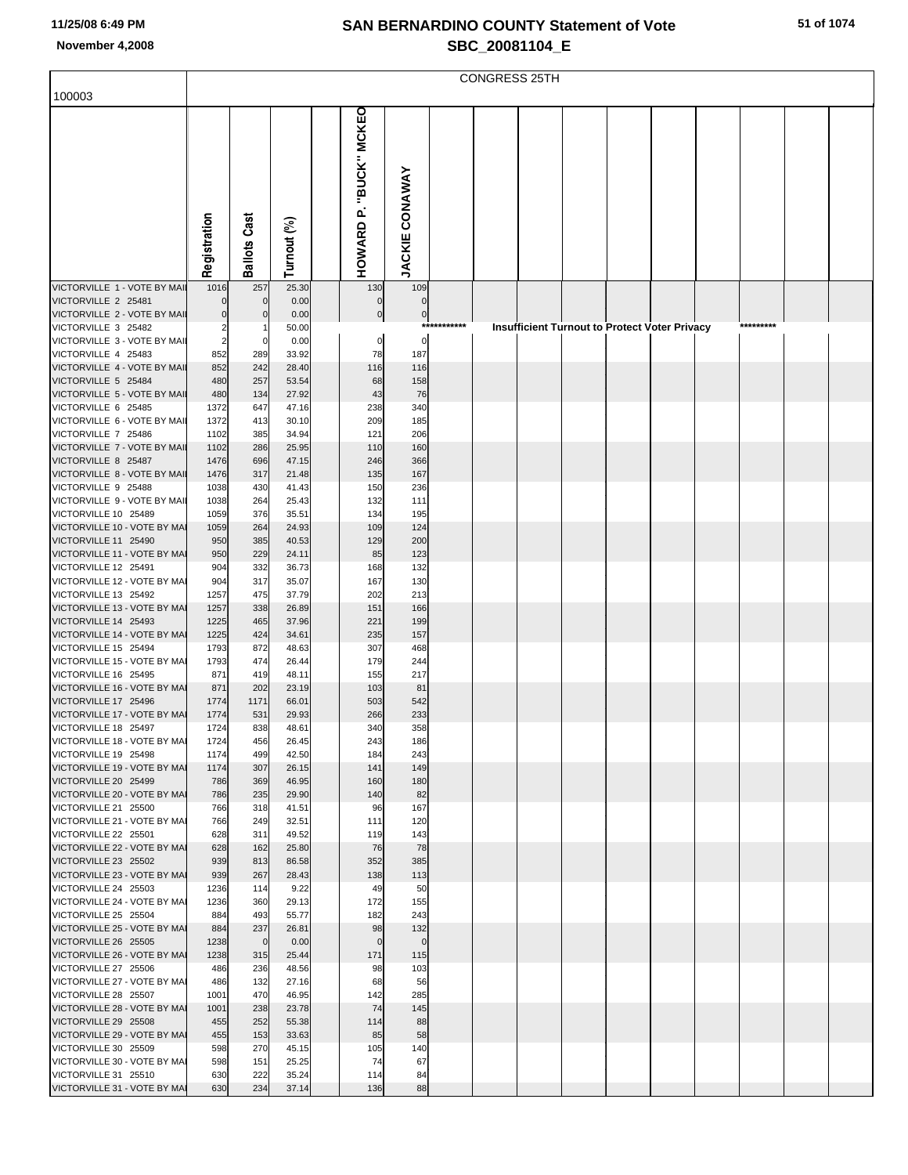|                                                      | CONGRESS 25TH  |                          |                |  |                               |                              |             |  |  |  |  |                                                      |  |           |  |  |
|------------------------------------------------------|----------------|--------------------------|----------------|--|-------------------------------|------------------------------|-------------|--|--|--|--|------------------------------------------------------|--|-----------|--|--|
| 100003                                               |                |                          |                |  |                               |                              |             |  |  |  |  |                                                      |  |           |  |  |
|                                                      | Registration   | Cast<br>Ballots          | Turnout (%)    |  | "BUCK" MCKEO<br>ρ.<br>HOWARD  | <b>JACKIE CONAWAY</b>        |             |  |  |  |  |                                                      |  |           |  |  |
| VICTORVILLE 1 - VOTE BY MAII                         | 1016           | 257                      | 25.30          |  | 130                           | 109                          |             |  |  |  |  |                                                      |  |           |  |  |
| VICTORVILLE 2 25481<br>VICTORVILLE 2 - VOTE BY MAIL  | 0<br>0         | $\mathbf{0}$<br>$\Omega$ | 0.00<br>0.00   |  | $\mathbf 0$<br>$\overline{0}$ | $\Omega$<br>$\boldsymbol{0}$ |             |  |  |  |  |                                                      |  |           |  |  |
| VICTORVILLE 3 25482                                  | 2              |                          | 50.00          |  |                               |                              | *********** |  |  |  |  | <b>Insufficient Turnout to Protect Voter Privacy</b> |  | ********* |  |  |
| VICTORVILLE 3 - VOTE BY MAIL<br>VICTORVILLE 4 25483  | $\overline{a}$ | 0                        | 0.00<br>33.92  |  | $\boldsymbol{0}$<br>78        | $\mathbf 0$<br>187           |             |  |  |  |  |                                                      |  |           |  |  |
| VICTORVILLE 4 - VOTE BY MAIL                         | 852<br>852     | 289<br>242               | 28.40          |  | 116                           | 116                          |             |  |  |  |  |                                                      |  |           |  |  |
| VICTORVILLE 5 25484                                  | 480            | 257                      | 53.54          |  | 68                            | 158                          |             |  |  |  |  |                                                      |  |           |  |  |
| VICTORVILLE 5 - VOTE BY MAIL<br>VICTORVILLE 6 25485  | 480<br>1372    | 134<br>647               | 27.92<br>47.16 |  | 43<br>238                     | 76<br>340                    |             |  |  |  |  |                                                      |  |           |  |  |
| VICTORVILLE 6 - VOTE BY MAIL                         | 1372           | 413                      | 30.10          |  | 209                           | 185                          |             |  |  |  |  |                                                      |  |           |  |  |
| VICTORVILLE 7 25486                                  | 1102           | 385                      | 34.94          |  | 121                           | 206                          |             |  |  |  |  |                                                      |  |           |  |  |
| VICTORVILLE 7 - VOTE BY MAIL<br>VICTORVILLE 8 25487  | 1102<br>1476   | 286<br>696               | 25.95<br>47.15 |  | 110<br>246                    | 160<br>366                   |             |  |  |  |  |                                                      |  |           |  |  |
| VICTORVILLE 8 - VOTE BY MAIL                         | 1476           | 317                      | 21.48          |  | 135                           | 167                          |             |  |  |  |  |                                                      |  |           |  |  |
| VICTORVILLE 9 25488<br>VICTORVILLE 9 - VOTE BY MAIL  | 1038<br>1038   | 430<br>264               | 41.43<br>25.43 |  | 150<br>132                    | 236<br>111                   |             |  |  |  |  |                                                      |  |           |  |  |
| VICTORVILLE 10 25489                                 | 1059           | 376                      | 35.51          |  | 134                           | 195                          |             |  |  |  |  |                                                      |  |           |  |  |
| VICTORVILLE 10 - VOTE BY MAI                         | 1059           | 264                      | 24.93          |  | 109                           | 124                          |             |  |  |  |  |                                                      |  |           |  |  |
| VICTORVILLE 11 25490<br>VICTORVILLE 11 - VOTE BY MAI | 950<br>950     | 385<br>229               | 40.53<br>24.11 |  | 129<br>85                     | 200<br>123                   |             |  |  |  |  |                                                      |  |           |  |  |
| VICTORVILLE 12 25491                                 | 904            | 332                      | 36.73          |  | 168                           | 132                          |             |  |  |  |  |                                                      |  |           |  |  |
| VICTORVILLE 12 - VOTE BY MAI                         | 904            | 317                      | 35.07          |  | 167                           | 130                          |             |  |  |  |  |                                                      |  |           |  |  |
| VICTORVILLE 13 25492<br>VICTORVILLE 13 - VOTE BY MAI | 1257<br>1257   | 475<br>338               | 37.79<br>26.89 |  | 202<br>151                    | 213<br>166                   |             |  |  |  |  |                                                      |  |           |  |  |
| VICTORVILLE 14 25493                                 | 1225           | 465                      | 37.96          |  | 221                           | 199                          |             |  |  |  |  |                                                      |  |           |  |  |
| VICTORVILLE 14 - VOTE BY MAI                         | 1225           | 424                      | 34.61          |  | 235                           | 157                          |             |  |  |  |  |                                                      |  |           |  |  |
| VICTORVILLE 15 25494<br>VICTORVILLE 15 - VOTE BY MAI | 1793<br>1793   | 872<br>474               | 48.63<br>26.44 |  | 307<br>179                    | 468<br>244                   |             |  |  |  |  |                                                      |  |           |  |  |
| VICTORVILLE 16 25495                                 | 871            | 419                      | 48.11          |  | 155                           | 217                          |             |  |  |  |  |                                                      |  |           |  |  |
| VICTORVILLE 16 - VOTE BY MAI<br>VICTORVILLE 17 25496 | 871<br>1774    | 202<br>1171              | 23.19<br>66.01 |  | 103<br>503                    | 81<br>542                    |             |  |  |  |  |                                                      |  |           |  |  |
| VICTORVILLE 17 - VOTE BY MAI                         | 1774           | 531                      | 29.93          |  | 266                           | 233                          |             |  |  |  |  |                                                      |  |           |  |  |
| VICTORVILLE 18 25497                                 | 1724           | 838                      | 48.61          |  | 340                           | 358                          |             |  |  |  |  |                                                      |  |           |  |  |
| VICTORVILLE 18 - VOTE BY MAI<br>VICTORVILLE 19 25498 | 1724<br>1174   | 456<br>499               | 26.45<br>42.50 |  | 243<br>184                    | 186<br>243                   |             |  |  |  |  |                                                      |  |           |  |  |
| VICTORVILLE 19 - VOTE BY MAI                         | 1174           | 307                      | 26.15          |  | 141                           | 149                          |             |  |  |  |  |                                                      |  |           |  |  |
| VICTORVILLE 20 25499                                 | 786            | 369                      | 46.95          |  | 160                           | 180                          |             |  |  |  |  |                                                      |  |           |  |  |
| VICTORVILLE 20 - VOTE BY MAI<br>VICTORVILLE 21 25500 | 786<br>766     | 235<br>318               | 29.90<br>41.51 |  | 140<br>96                     | 82<br>167                    |             |  |  |  |  |                                                      |  |           |  |  |
| VICTORVILLE 21 - VOTE BY MAI                         | 766            | 249                      | 32.51          |  | 111                           | 120                          |             |  |  |  |  |                                                      |  |           |  |  |
| VICTORVILLE 22 25501<br>VICTORVILLE 22 - VOTE BY MAI | 628<br>628     | 311<br>162               | 49.52<br>25.80 |  | 119<br>76                     | 143<br>78                    |             |  |  |  |  |                                                      |  |           |  |  |
| VICTORVILLE 23 25502                                 | 939            | 813                      | 86.58          |  | 352                           | 385                          |             |  |  |  |  |                                                      |  |           |  |  |
| VICTORVILLE 23 - VOTE BY MAI                         | 939            | 267                      | 28.43          |  | 138                           | 113                          |             |  |  |  |  |                                                      |  |           |  |  |
| VICTORVILLE 24 25503<br>VICTORVILLE 24 - VOTE BY MAI | 1236<br>1236   | 114<br>360               | 9.22<br>29.13  |  | 49<br>172                     | 50<br>155                    |             |  |  |  |  |                                                      |  |           |  |  |
| VICTORVILLE 25 25504                                 | 884            | 493                      | 55.77          |  | 182                           | 243                          |             |  |  |  |  |                                                      |  |           |  |  |
| VICTORVILLE 25 - VOTE BY MAI                         | 884            | 237                      | 26.81          |  | 98                            | 132                          |             |  |  |  |  |                                                      |  |           |  |  |
| VICTORVILLE 26 25505<br>VICTORVILLE 26 - VOTE BY MAI | 1238<br>1238   | $\overline{0}$<br>315    | 0.00<br>25.44  |  | $\mathbf 0$<br>171            | $\overline{0}$<br>115        |             |  |  |  |  |                                                      |  |           |  |  |
| VICTORVILLE 27 25506                                 | 486            | 236                      | 48.56          |  | 98                            | 103                          |             |  |  |  |  |                                                      |  |           |  |  |
| VICTORVILLE 27 - VOTE BY MAI                         | 486            | 132                      | 27.16          |  | 68                            | 56                           |             |  |  |  |  |                                                      |  |           |  |  |
| VICTORVILLE 28 25507<br>VICTORVILLE 28 - VOTE BY MAI | 1001<br>1001   | 470<br>238               | 46.95<br>23.78 |  | 142<br>74                     | 285<br>145                   |             |  |  |  |  |                                                      |  |           |  |  |
| VICTORVILLE 29 25508                                 | 455            | 252                      | 55.38          |  | 114                           | 88                           |             |  |  |  |  |                                                      |  |           |  |  |
| VICTORVILLE 29 - VOTE BY MAI<br>VICTORVILLE 30 25509 | 455<br>598     | 153<br>270               | 33.63<br>45.15 |  | 85<br>105                     | 58<br>140                    |             |  |  |  |  |                                                      |  |           |  |  |
| VICTORVILLE 30 - VOTE BY MAI                         | 598            | 151                      | 25.25          |  | 74                            | 67                           |             |  |  |  |  |                                                      |  |           |  |  |
| VICTORVILLE 31 25510                                 | 630            | 222                      | 35.24          |  | 114                           | 84                           |             |  |  |  |  |                                                      |  |           |  |  |
| VICTORVILLE 31 - VOTE BY MAI                         | 630            | 234                      | 37.14          |  | 136                           | 88                           |             |  |  |  |  |                                                      |  |           |  |  |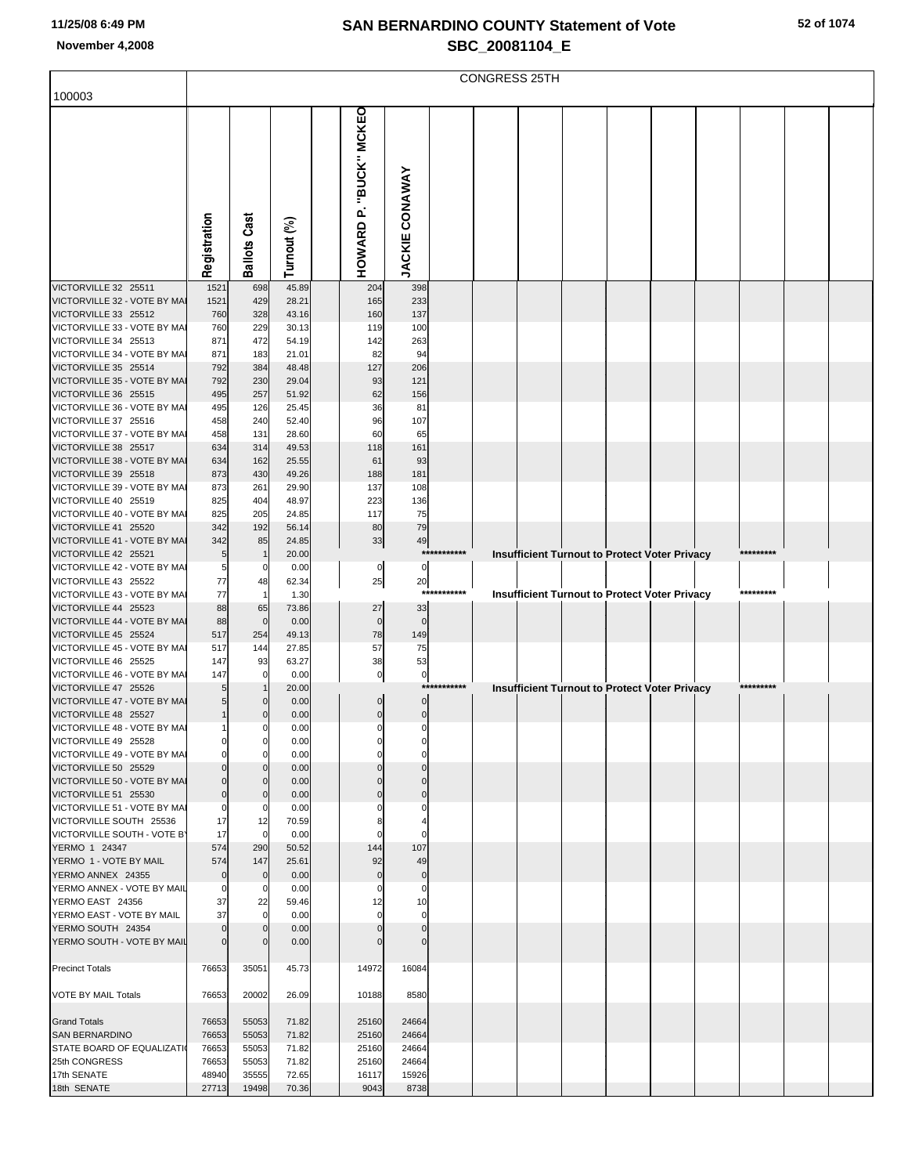|                                                         |                |                            |                |                                      |                          |             | <b>CONGRESS 25TH</b> |  |                                                      |           |  |
|---------------------------------------------------------|----------------|----------------------------|----------------|--------------------------------------|--------------------------|-------------|----------------------|--|------------------------------------------------------|-----------|--|
| 100003                                                  |                |                            |                |                                      |                          |             |                      |  |                                                      |           |  |
|                                                         | Registration   | <b>Ballots Cast</b>        | Turnout (%)    | "BUCK" MCKEO<br>HOWARD <sub>P.</sub> | <b>JACKIE CONAWAY</b>    |             |                      |  |                                                      |           |  |
| VICTORVILLE 32 25511                                    | 1521           | 698                        | 45.89          | 204                                  | 398                      |             |                      |  |                                                      |           |  |
| VICTORVILLE 32 - VOTE BY MAI<br>VICTORVILLE 33 25512    | 1521<br>760    | 429<br>328                 | 28.21<br>43.16 | 165<br>160                           | 233<br>137               |             |                      |  |                                                      |           |  |
| VICTORVILLE 33 - VOTE BY MAI                            | 760            | 229                        | 30.13          | 119                                  | 100                      |             |                      |  |                                                      |           |  |
| VICTORVILLE 34 25513<br>VICTORVILLE 34 - VOTE BY MA     | 871<br>871     | 472<br>183                 | 54.19<br>21.01 | 142<br>82                            | 263<br>94                |             |                      |  |                                                      |           |  |
| VICTORVILLE 35 25514                                    | 792            | 384                        | 48.48          | 127                                  | 206                      |             |                      |  |                                                      |           |  |
| VICTORVILLE 35 - VOTE BY MAI                            | 792            | 230                        | 29.04          | 93                                   | 121                      |             |                      |  |                                                      |           |  |
| VICTORVILLE 36 25515                                    | 495            | 257                        | 51.92          | 62                                   | 156                      |             |                      |  |                                                      |           |  |
| VICTORVILLE 36 - VOTE BY MAI<br>VICTORVILLE 37 25516    | 495<br>458     | 126<br>240                 | 25.45<br>52.40 | 36<br>96                             | 81<br>107                |             |                      |  |                                                      |           |  |
| VICTORVILLE 37 - VOTE BY MAI                            | 458            | 131                        | 28.60          | 60                                   | 65                       |             |                      |  |                                                      |           |  |
| VICTORVILLE 38 25517                                    | 634            | 314                        | 49.53          | 118                                  | 161                      |             |                      |  |                                                      |           |  |
| VICTORVILLE 38 - VOTE BY MAI<br>VICTORVILLE 39 25518    | 634<br>873     | 162<br>430                 | 25.55<br>49.26 | 61<br>188                            | 93<br>181                |             |                      |  |                                                      |           |  |
| VICTORVILLE 39 - VOTE BY MAI                            | 873            | 261                        | 29.90          | 137                                  | 108                      |             |                      |  |                                                      |           |  |
| VICTORVILLE 40 25519                                    | 825            | 404                        | 48.97          | 223                                  | 136                      |             |                      |  |                                                      |           |  |
| VICTORVILLE 40 - VOTE BY MAI<br>VICTORVILLE 41 25520    | 825<br>342     | 205                        | 24.85          | 117<br>80                            | 75<br>79                 |             |                      |  |                                                      |           |  |
| VICTORVILLE 41 - VOTE BY MAI                            | 342            | 192<br>85                  | 56.14<br>24.85 | 33                                   | 49                       |             |                      |  |                                                      |           |  |
| VICTORVILLE 42 25521                                    | 5              | $\mathbf{1}$               | 20.00          |                                      |                          | *********** |                      |  | <b>Insufficient Turnout to Protect Voter Privacy</b> | ********* |  |
| VICTORVILLE 42 - VOTE BY MAI                            | 5              | $\mathbf 0$                | 0.00           | 0                                    | 0                        |             |                      |  |                                                      |           |  |
| VICTORVILLE 43 25522<br>VICTORVILLE 43 - VOTE BY MAI    | 77<br>77       | 48<br>$\mathbf{1}$         | 62.34<br>1.30  | 25                                   | 20                       | *********** |                      |  | <b>Insufficient Turnout to Protect Voter Privacy</b> | ********* |  |
| VICTORVILLE 44 25523                                    | 88             | 65                         | 73.86          | 27                                   | 33                       |             |                      |  |                                                      |           |  |
| VICTORVILLE 44 - VOTE BY MAI                            | 88             | $\mathbf 0$                | 0.00           | $\mathbf 0$                          | $\Omega$                 |             |                      |  |                                                      |           |  |
| VICTORVILLE 45 25524                                    | 517            | 254                        | 49.13          | 78                                   | 149                      |             |                      |  |                                                      |           |  |
| VICTORVILLE 45 - VOTE BY MAI<br>VICTORVILLE 46 25525    | 517<br>147     | 144<br>93                  | 27.85<br>63.27 | 57<br>38                             | 75<br>53                 |             |                      |  |                                                      |           |  |
| VICTORVILLE 46 - VOTE BY MA                             | 147            | $\mathbf 0$                | 0.00           | $\pmb{0}$                            | $\pmb{0}$                |             |                      |  |                                                      |           |  |
| VICTORVILLE 47 25526                                    | 5              |                            | 20.00          |                                      |                          | *********** |                      |  | <b>Insufficient Turnout to Protect Voter Privacy</b> | ********* |  |
| VICTORVILLE 47 - VOTE BY MAI<br>VICTORVILLE 48 25527    | 5<br>1         | $\Omega$<br>$\mathbf 0$    | 0.00<br>0.00   | $\mathbf 0$<br>$\pmb{0}$             | $\mathbf 0$<br>$\pmb{0}$ |             |                      |  |                                                      |           |  |
| VICTORVILLE 48 - VOTE BY MAI                            |                |                            | 0.00           |                                      |                          |             |                      |  |                                                      |           |  |
| VICTORVILLE 49 25528                                    | $\Omega$       | $\mathbf 0$                | 0.00           |                                      |                          |             |                      |  |                                                      |           |  |
| VICTORVILLE 49 - VOTE BY MAI<br>VICTORVILLE 50 25529    |                | 0                          | 0.00<br>0.00   |                                      |                          |             |                      |  |                                                      |           |  |
| VICTORVILLE 50 - VOTE BY MAI                            |                | $\Omega$                   | 0.00           |                                      |                          |             |                      |  |                                                      |           |  |
| VICTORVILLE 51 25530                                    | 0              | $\Omega$                   | 0.00           | 0                                    |                          |             |                      |  |                                                      |           |  |
| VICTORVILLE 51 - VOTE BY MAI<br>VICTORVILLE SOUTH 25536 | 0              | 0                          | 0.00           |                                      | 0                        |             |                      |  |                                                      |           |  |
| VICTORVILLE SOUTH - VOTE B'                             | 17<br>17       | 12<br>$\mathbf 0$          | 70.59<br>0.00  |                                      |                          |             |                      |  |                                                      |           |  |
| YERMO 1 24347                                           | 574            | 290                        | 50.52          | 144                                  | 107                      |             |                      |  |                                                      |           |  |
| YERMO 1 - VOTE BY MAIL                                  | 574            | 147                        | 25.61          | 92                                   | 49                       |             |                      |  |                                                      |           |  |
| YERMO ANNEX 24355<br>YERMO ANNEX - VOTE BY MAIL         | 0<br>0         | $\mathbf 0$<br>$\mathbf 0$ | 0.00<br>0.00   | $\Omega$<br>0                        | $\pmb{0}$<br>0           |             |                      |  |                                                      |           |  |
| YERMO EAST 24356                                        | 37             | 22                         | 59.46          | 12                                   | 10                       |             |                      |  |                                                      |           |  |
| YERMO EAST - VOTE BY MAIL                               | 37             | $\mathbf 0$                | 0.00           |                                      | $\Omega$                 |             |                      |  |                                                      |           |  |
| YERMO SOUTH 24354<br>YERMO SOUTH - VOTE BY MAIL         |                | $\Omega$<br>$\Omega$       | 0.00<br>0.00   |                                      | $\Omega$                 |             |                      |  |                                                      |           |  |
|                                                         |                |                            |                |                                      |                          |             |                      |  |                                                      |           |  |
| <b>Precinct Totals</b>                                  | 76653          | 35051                      | 45.73          | 14972                                | 16084                    |             |                      |  |                                                      |           |  |
| VOTE BY MAIL Totals                                     | 76653          | 20002                      | 26.09          | 10188                                | 8580                     |             |                      |  |                                                      |           |  |
| <b>Grand Totals</b>                                     | 76653          | 55053                      | 71.82          | 25160                                | 24664                    |             |                      |  |                                                      |           |  |
| <b>SAN BERNARDINO</b><br>STATE BOARD OF EQUALIZATI      | 76653<br>76653 | 55053<br>55053             | 71.82<br>71.82 | 25160<br>25160                       | 24664<br>24664           |             |                      |  |                                                      |           |  |
| 25th CONGRESS                                           | 76653          | 55053                      | 71.82          | 25160                                | 24664                    |             |                      |  |                                                      |           |  |
| 17th SENATE                                             | 48940          | 35555                      | 72.65          | 16117                                | 15926                    |             |                      |  |                                                      |           |  |
| 18th SENATE                                             | 27713          | 19498                      | 70.36          | 9043                                 | 8738                     |             |                      |  |                                                      |           |  |